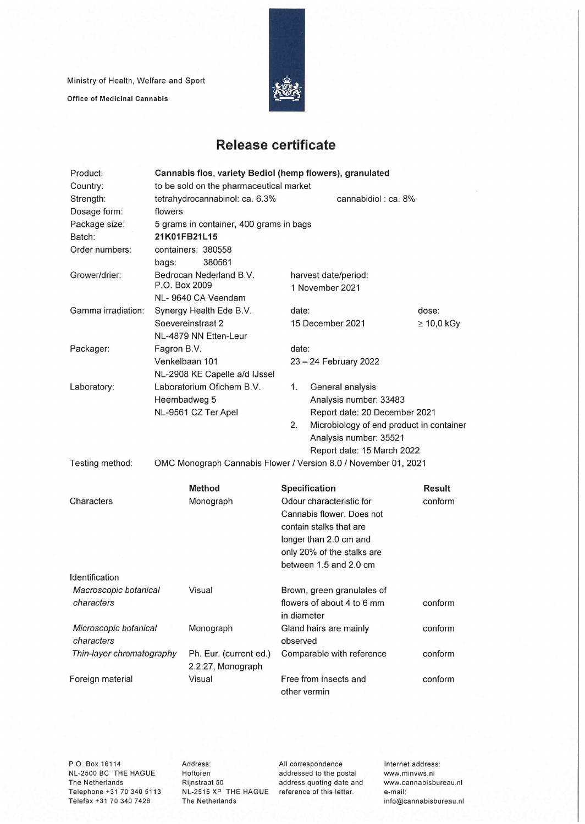Ministry of Health, Welfare and Sport Office of Medicinal Cannabis



## **Release certificate**

| Product:                            | Cannabis flos, variety Bediol (hemp flowers), granulated |                           |                          |                                                                 |                 |  |
|-------------------------------------|----------------------------------------------------------|---------------------------|--------------------------|-----------------------------------------------------------------|-----------------|--|
| Country:                            | to be sold on the pharmaceutical market                  |                           |                          |                                                                 |                 |  |
| Strength:                           | tetrahydrocannabinol: ca. 6.3%                           |                           |                          | cannabidiol: ca. 8%                                             |                 |  |
| Dosage form:                        | flowers                                                  |                           |                          |                                                                 |                 |  |
| Package size:                       | 5 grams in container, 400 grams in bags                  |                           |                          |                                                                 |                 |  |
| Batch:                              | 21K01FB21L15                                             |                           |                          |                                                                 |                 |  |
| Order numbers:                      |                                                          | containers: 380558        |                          |                                                                 |                 |  |
|                                     | bags:                                                    | 380561                    |                          |                                                                 |                 |  |
| Grower/drier:                       | Bedrocan Nederland B.V.<br>P.O. Box 2009                 |                           |                          | harvest date/period:<br>1 November 2021                         |                 |  |
|                                     | NL-9640 CA Veendam                                       |                           |                          |                                                                 |                 |  |
| Gamma irradiation:                  | Synergy Health Ede B.V.                                  |                           | date:                    |                                                                 | dose:           |  |
|                                     | Soevereinstraat 2                                        |                           | 15 December 2021         |                                                                 | $\geq 10,0$ kGy |  |
|                                     |                                                          | NL-4879 NN Etten-Leur     |                          |                                                                 |                 |  |
| Packager:                           | Fagron B.V.                                              |                           | date:                    |                                                                 |                 |  |
|                                     | Venkelbaan 101                                           |                           |                          | 23 - 24 February 2022                                           |                 |  |
|                                     | NL-2908 KE Capelle a/d IJssel                            |                           |                          |                                                                 |                 |  |
| Laboratory:                         |                                                          | Laboratorium Ofichem B.V. | 1.                       | General analysis                                                |                 |  |
|                                     | Heembadweg 5                                             |                           |                          | Analysis number: 33483                                          |                 |  |
|                                     |                                                          | NL-9561 CZ Ter Apel       |                          | Report date: 20 December 2021                                   |                 |  |
|                                     |                                                          |                           | 2.                       | Microbiology of end product in container                        |                 |  |
|                                     |                                                          |                           |                          | Analysis number: 35521                                          |                 |  |
|                                     |                                                          |                           |                          | Report date: 15 March 2022                                      |                 |  |
| Testing method:                     |                                                          |                           |                          | OMC Monograph Cannabis Flower / Version 8.0 / November 01, 2021 |                 |  |
|                                     |                                                          | <b>Method</b>             |                          | Specification                                                   | <b>Result</b>   |  |
| Characters                          |                                                          | Monograph                 | Odour characteristic for |                                                                 | conform         |  |
|                                     |                                                          |                           |                          | Cannabis flower, Does not                                       |                 |  |
|                                     |                                                          |                           |                          | contain stalks that are                                         |                 |  |
|                                     |                                                          |                           |                          | longer than 2.0 cm and                                          |                 |  |
|                                     |                                                          |                           |                          | only 20% of the stalks are                                      |                 |  |
|                                     |                                                          |                           |                          | between 1.5 and 2.0 cm                                          |                 |  |
| Identification                      |                                                          |                           |                          |                                                                 |                 |  |
| Macroscopic botanical               |                                                          | Visual                    |                          | Brown, green granulates of                                      |                 |  |
| characters                          |                                                          |                           |                          | flowers of about 4 to 6 mm                                      | conform         |  |
|                                     |                                                          |                           | in diameter              |                                                                 |                 |  |
| Microscopic botanical<br>characters |                                                          | Monograph                 |                          | Gland hairs are mainly                                          | conform         |  |
|                                     |                                                          |                           | observed                 |                                                                 |                 |  |
| Thin-layer chromatography           |                                                          | Ph. Eur. (current ed.)    |                          | Comparable with reference                                       | conform         |  |
|                                     |                                                          | 2.2.27, Monograph         |                          |                                                                 |                 |  |
| Foreign material                    |                                                          | Visual                    |                          | Free from insects and                                           | conform         |  |
|                                     |                                                          |                           |                          | other vermin                                                    |                 |  |

P.O. Box 16114 NL-2500 BC THE HAGUE The Netherlands Telephone +31 70 340 5113 Telefax +31 70 340 7426

Address: Hoftoren Rijnstraat 50 NL-2515 XP THE HAGUE reference of this letter. The Netherlands

All correspondence addressed to the postai address quoting date and Internet address: www.minvws.nl www.cannabisbureau.n1 e-mail: info@cannabisbureau.nl